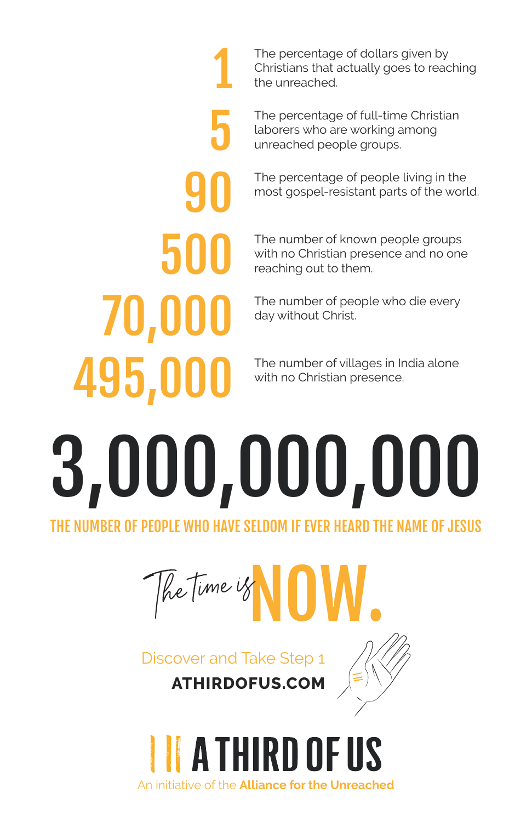The percentage of dollars given by Christians that actually goes to reaching the unreached.

The percentage of full-time Christian laborers who are working among unreached people groups.

The percentage of people living in the most gospel-resistant parts of the world.

The number of known people groups with no Christian presence and no one reaching out to them.

The number of people who die every day without Christ.

The number of villages in India alone with no Christian presence.

# 3,000,000,000 THE NUMBER OF PEOPLE WHO HAVE SELDOM IF EVER HEARD THE NAME OF JESUS

1

5

90

500

70,000

495,000

Whe time is

Discover and Take Step 1 **ATHIRDOFUS.COM**